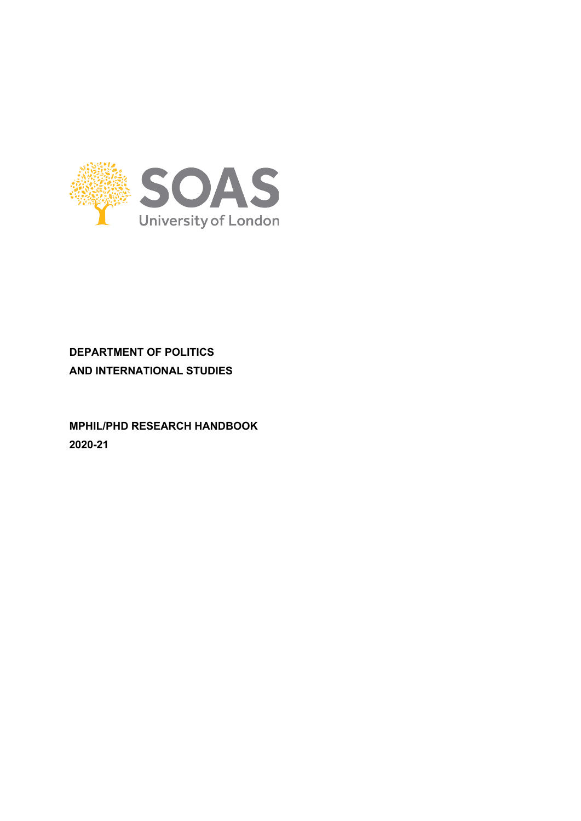

# **DEPARTMENT OF POLITICS AND INTERNATIONAL STUDIES**

**MPHIL/PHD RESEARCH HANDBOOK 2020-21**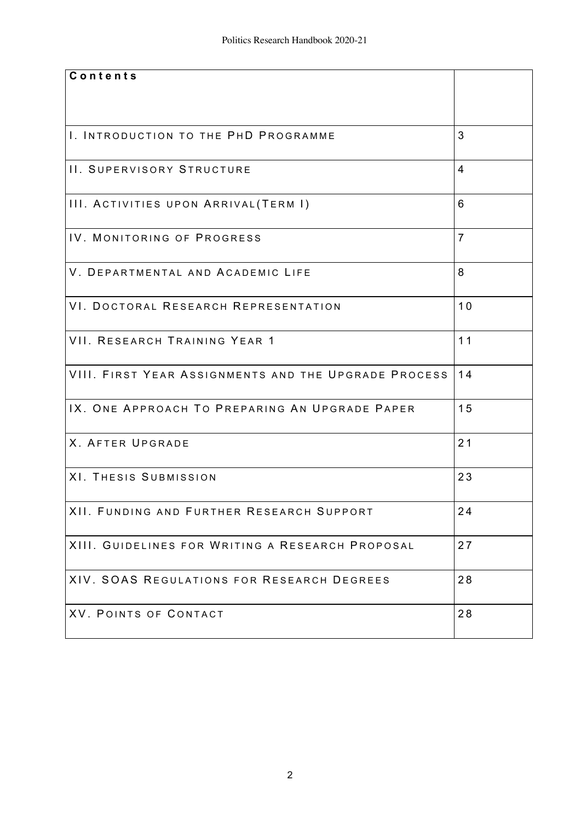| Contents                                             |                |
|------------------------------------------------------|----------------|
|                                                      |                |
|                                                      |                |
|                                                      |                |
| I. INTRODUCTION TO THE PHD PROGRAMME                 | 3              |
|                                                      |                |
| II. SUPERVISORY STRUCTURE                            | 4              |
|                                                      |                |
| III. ACTIVITIES UPON ARRIVAL(TERM I)                 | 6              |
|                                                      |                |
| IV. MONITORING OF PROGRESS                           | $\overline{7}$ |
|                                                      |                |
| V. DEPARTMENTAL AND ACADEMIC LIFE                    | 8              |
|                                                      |                |
|                                                      |                |
| VI. DOCTORAL RESEARCH REPRESENTATION                 | 10             |
|                                                      |                |
| VII. RESEARCH TRAINING YEAR 1                        | 11             |
|                                                      |                |
| VIII. FIRST YEAR ASSIGNMENTS AND THE UPGRADE PROCESS | 14             |
|                                                      |                |
| IX. ONE APPROACH TO PREPARING AN UPGRADE PAPER       | 15             |
|                                                      |                |
| <b>X. AFTER UPGRADE</b>                              | 21             |
|                                                      |                |
| XI. THESIS SUBMISSION                                | 23             |
|                                                      |                |
| XII. FUNDING AND FURTHER RESEARCH SUPPORT            | 24             |
|                                                      |                |
| XIII. GUIDELINES FOR WRITING A RESEARCH PROPOSAL     | 27             |
|                                                      |                |
| XIV. SOAS REGULATIONS FOR RESEARCH DEGREES           | 28             |
|                                                      |                |
|                                                      |                |
| XV. POINTS OF CONTACT                                | 28             |
|                                                      |                |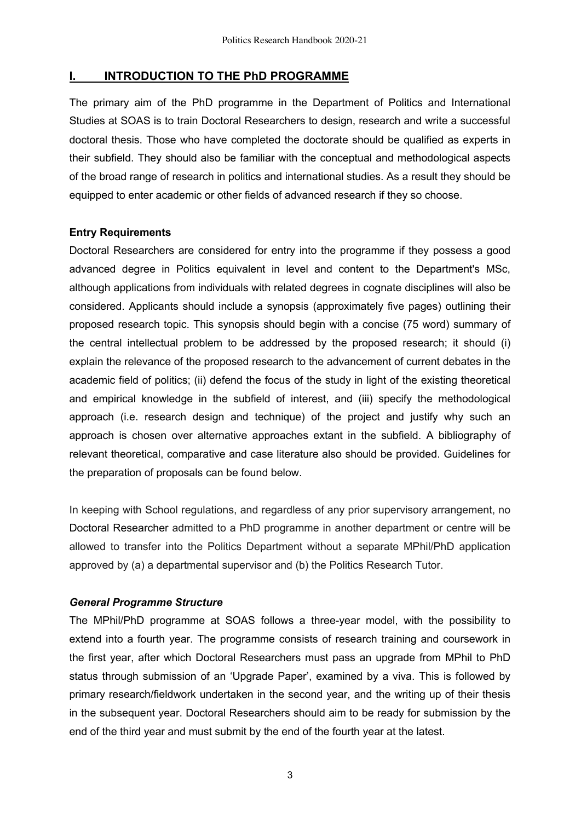### **I. INTRODUCTION TO THE PhD PROGRAMME**

The primary aim of the PhD programme in the Department of Politics and International Studies at SOAS is to train Doctoral Researchers to design, research and write a successful doctoral thesis. Those who have completed the doctorate should be qualified as experts in their subfield. They should also be familiar with the conceptual and methodological aspects of the broad range of research in politics and international studies. As a result they should be equipped to enter academic or other fields of advanced research if they so choose.

### **Entry Requirements**

Doctoral Researchers are considered for entry into the programme if they possess a good advanced degree in Politics equivalent in level and content to the Department's MSc, although applications from individuals with related degrees in cognate disciplines will also be considered. Applicants should include a synopsis (approximately five pages) outlining their proposed research topic. This synopsis should begin with a concise (75 word) summary of the central intellectual problem to be addressed by the proposed research; it should (i) explain the relevance of the proposed research to the advancement of current debates in the academic field of politics; (ii) defend the focus of the study in light of the existing theoretical and empirical knowledge in the subfield of interest, and (iii) specify the methodological approach (i.e. research design and technique) of the project and justify why such an approach is chosen over alternative approaches extant in the subfield. A bibliography of relevant theoretical, comparative and case literature also should be provided. Guidelines for the preparation of proposals can be found below.

In keeping with School regulations, and regardless of any prior supervisory arrangement, no Doctoral Researcher admitted to a PhD programme in another department or centre will be allowed to transfer into the Politics Department without a separate MPhil/PhD application approved by (a) a departmental supervisor and (b) the Politics Research Tutor.

#### *General Programme Structure*

The MPhil/PhD programme at SOAS follows a three-year model, with the possibility to extend into a fourth year. The programme consists of research training and coursework in the first year, after which Doctoral Researchers must pass an upgrade from MPhil to PhD status through submission of an 'Upgrade Paper', examined by a viva. This is followed by primary research/fieldwork undertaken in the second year, and the writing up of their thesis in the subsequent year. Doctoral Researchers should aim to be ready for submission by the end of the third year and must submit by the end of the fourth year at the latest.

3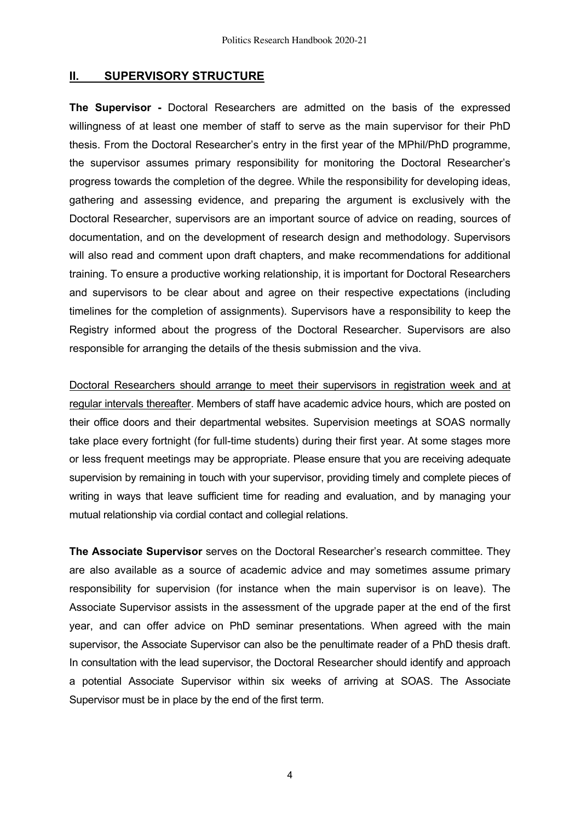# **II. SUPERVISORY STRUCTURE**

**The Supervisor -** Doctoral Researchers are admitted on the basis of the expressed willingness of at least one member of staff to serve as the main supervisor for their PhD thesis. From the Doctoral Researcher's entry in the first year of the MPhil/PhD programme, the supervisor assumes primary responsibility for monitoring the Doctoral Researcher's progress towards the completion of the degree. While the responsibility for developing ideas, gathering and assessing evidence, and preparing the argument is exclusively with the Doctoral Researcher, supervisors are an important source of advice on reading, sources of documentation, and on the development of research design and methodology. Supervisors will also read and comment upon draft chapters, and make recommendations for additional training. To ensure a productive working relationship, it is important for Doctoral Researchers and supervisors to be clear about and agree on their respective expectations (including timelines for the completion of assignments). Supervisors have a responsibility to keep the Registry informed about the progress of the Doctoral Researcher. Supervisors are also responsible for arranging the details of the thesis submission and the viva.

Doctoral Researchers should arrange to meet their supervisors in registration week and at regular intervals thereafter. Members of staff have academic advice hours, which are posted on their office doors and their departmental websites. Supervision meetings at SOAS normally take place every fortnight (for full-time students) during their first year. At some stages more or less frequent meetings may be appropriate. Please ensure that you are receiving adequate supervision by remaining in touch with your supervisor, providing timely and complete pieces of writing in ways that leave sufficient time for reading and evaluation, and by managing your mutual relationship via cordial contact and collegial relations.

**The Associate Supervisor** serves on the Doctoral Researcher's research committee. They are also available as a source of academic advice and may sometimes assume primary responsibility for supervision (for instance when the main supervisor is on leave). The Associate Supervisor assists in the assessment of the upgrade paper at the end of the first year, and can offer advice on PhD seminar presentations. When agreed with the main supervisor, the Associate Supervisor can also be the penultimate reader of a PhD thesis draft. In consultation with the lead supervisor, the Doctoral Researcher should identify and approach a potential Associate Supervisor within six weeks of arriving at SOAS. The Associate Supervisor must be in place by the end of the first term.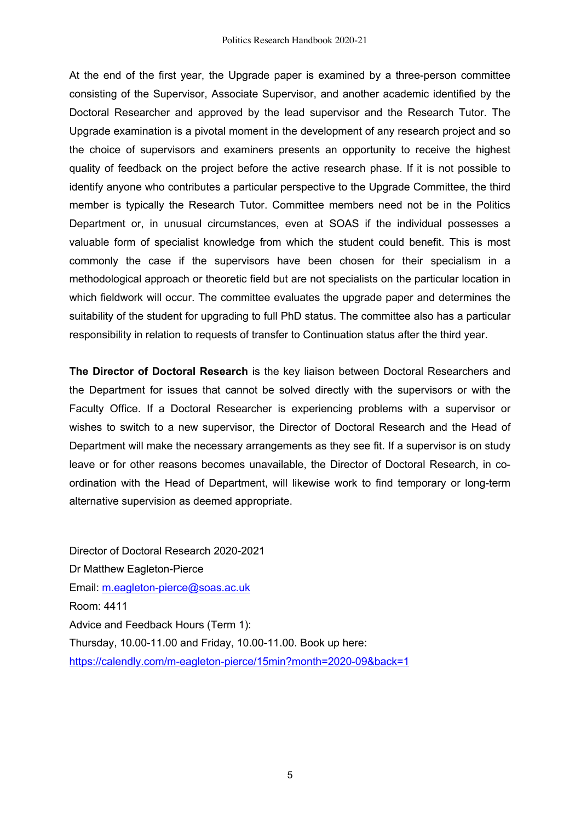At the end of the first year, the Upgrade paper is examined by a three-person committee consisting of the Supervisor, Associate Supervisor, and another academic identified by the Doctoral Researcher and approved by the lead supervisor and the Research Tutor. The Upgrade examination is a pivotal moment in the development of any research project and so the choice of supervisors and examiners presents an opportunity to receive the highest quality of feedback on the project before the active research phase. If it is not possible to identify anyone who contributes a particular perspective to the Upgrade Committee, the third member is typically the Research Tutor. Committee members need not be in the Politics Department or, in unusual circumstances, even at SOAS if the individual possesses a valuable form of specialist knowledge from which the student could benefit. This is most commonly the case if the supervisors have been chosen for their specialism in a methodological approach or theoretic field but are not specialists on the particular location in which fieldwork will occur. The committee evaluates the upgrade paper and determines the suitability of the student for upgrading to full PhD status. The committee also has a particular responsibility in relation to requests of transfer to Continuation status after the third year.

**The Director of Doctoral Research** is the key liaison between Doctoral Researchers and the Department for issues that cannot be solved directly with the supervisors or with the Faculty Office. If a Doctoral Researcher is experiencing problems with a supervisor or wishes to switch to a new supervisor, the Director of Doctoral Research and the Head of Department will make the necessary arrangements as they see fit. If a supervisor is on study leave or for other reasons becomes unavailable, the Director of Doctoral Research, in coordination with the Head of Department, will likewise work to find temporary or long-term alternative supervision as deemed appropriate.

Director of Doctoral Research 2020-2021 Dr Matthew Eagleton-Pierce Email: m.eagleton-pierce@soas.ac.uk Room: 4411 Advice and Feedback Hours (Term 1): Thursday, 10.00-11.00 and Friday, 10.00-11.00. Book up here: https://calendly.com/m-eagleton-pierce/15min?month=2020-09&back=1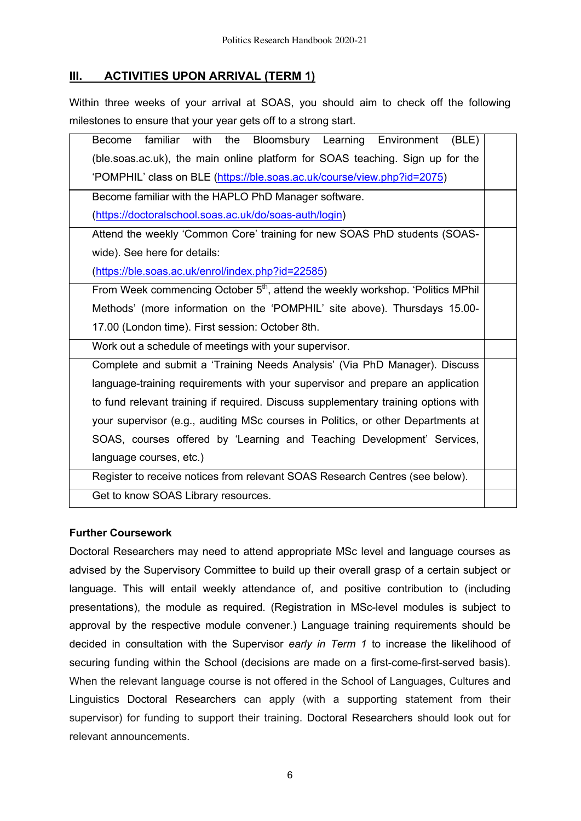# **III. ACTIVITIES UPON ARRIVAL (TERM 1)**

Within three weeks of your arrival at SOAS, you should aim to check off the following milestones to ensure that your year gets off to a strong start.

| familiar with<br>Bloomsbury Learning<br>Become<br>the<br>(BLE)<br>Environment               |  |  |
|---------------------------------------------------------------------------------------------|--|--|
| (ble.soas.ac.uk), the main online platform for SOAS teaching. Sign up for the               |  |  |
| 'POMPHIL' class on BLE (https://ble.soas.ac.uk/course/view.php?id=2075)                     |  |  |
| Become familiar with the HAPLO PhD Manager software.                                        |  |  |
| (https://doctoralschool.soas.ac.uk/do/soas-auth/login)                                      |  |  |
| Attend the weekly 'Common Core' training for new SOAS PhD students (SOAS-                   |  |  |
| wide). See here for details:                                                                |  |  |
| (https://ble.soas.ac.uk/enrol/index.php?id=22585)                                           |  |  |
| From Week commencing October 5 <sup>th</sup> , attend the weekly workshop. 'Politics MPhil' |  |  |
| Methods' (more information on the 'POMPHIL' site above). Thursdays 15.00-                   |  |  |
| 17.00 (London time). First session: October 8th.                                            |  |  |
| Work out a schedule of meetings with your supervisor.                                       |  |  |
| Complete and submit a 'Training Needs Analysis' (Via PhD Manager). Discuss                  |  |  |
| language-training requirements with your supervisor and prepare an application              |  |  |
| to fund relevant training if required. Discuss supplementary training options with          |  |  |
| your supervisor (e.g., auditing MSc courses in Politics, or other Departments at            |  |  |
| SOAS, courses offered by 'Learning and Teaching Development' Services,                      |  |  |
| language courses, etc.)                                                                     |  |  |
| Register to receive notices from relevant SOAS Research Centres (see below).                |  |  |
| Get to know SOAS Library resources.                                                         |  |  |

### **Further Coursework**

Doctoral Researchers may need to attend appropriate MSc level and language courses as advised by the Supervisory Committee to build up their overall grasp of a certain subject or language. This will entail weekly attendance of, and positive contribution to (including presentations), the module as required. (Registration in MSc-level modules is subject to approval by the respective module convener.) Language training requirements should be decided in consultation with the Supervisor *early in Term 1* to increase the likelihood of securing funding within the School (decisions are made on a first-come-first-served basis). When the relevant language course is not offered in the School of Languages, Cultures and Linguistics Doctoral Researchers can apply (with a supporting statement from their supervisor) for funding to support their training. Doctoral Researchers should look out for relevant announcements.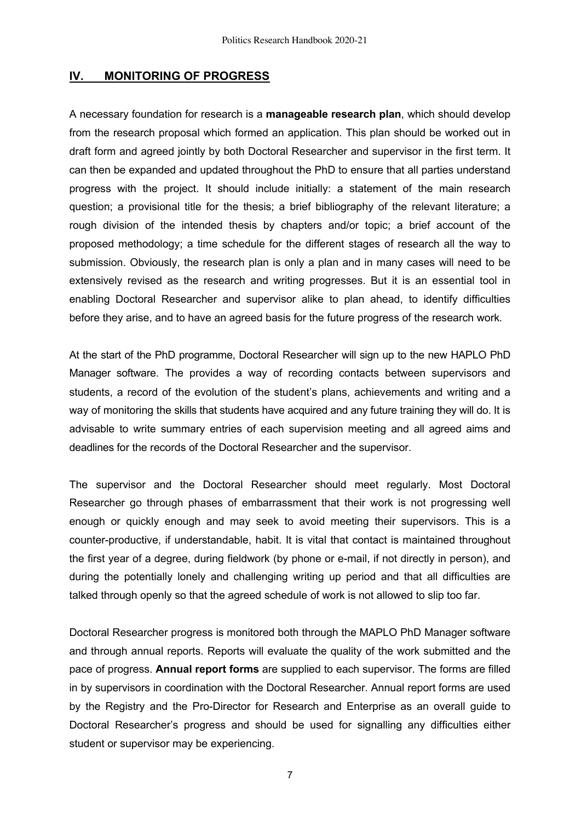### **IV. MONITORING OF PROGRESS**

A necessary foundation for research is a **manageable research plan**, which should develop from the research proposal which formed an application. This plan should be worked out in draft form and agreed jointly by both Doctoral Researcher and supervisor in the first term. It can then be expanded and updated throughout the PhD to ensure that all parties understand progress with the project. It should include initially: a statement of the main research question; a provisional title for the thesis; a brief bibliography of the relevant literature; a rough division of the intended thesis by chapters and/or topic; a brief account of the proposed methodology; a time schedule for the different stages of research all the way to submission. Obviously, the research plan is only a plan and in many cases will need to be extensively revised as the research and writing progresses. But it is an essential tool in enabling Doctoral Researcher and supervisor alike to plan ahead, to identify difficulties before they arise, and to have an agreed basis for the future progress of the research work*.*

At the start of the PhD programme, Doctoral Researcher will sign up to the new HAPLO PhD Manager software. The provides a way of recording contacts between supervisors and students, a record of the evolution of the student's plans, achievements and writing and a way of monitoring the skills that students have acquired and any future training they will do. It is advisable to write summary entries of each supervision meeting and all agreed aims and deadlines for the records of the Doctoral Researcher and the supervisor.

The supervisor and the Doctoral Researcher should meet regularly. Most Doctoral Researcher go through phases of embarrassment that their work is not progressing well enough or quickly enough and may seek to avoid meeting their supervisors. This is a counter-productive, if understandable, habit. It is vital that contact is maintained throughout the first year of a degree, during fieldwork (by phone or e-mail, if not directly in person), and during the potentially lonely and challenging writing up period and that all difficulties are talked through openly so that the agreed schedule of work is not allowed to slip too far.

Doctoral Researcher progress is monitored both through the MAPLO PhD Manager software and through annual reports. Reports will evaluate the quality of the work submitted and the pace of progress. **Annual report forms** are supplied to each supervisor. The forms are filled in by supervisors in coordination with the Doctoral Researcher. Annual report forms are used by the Registry and the Pro-Director for Research and Enterprise as an overall guide to Doctoral Researcher's progress and should be used for signalling any difficulties either student or supervisor may be experiencing.

7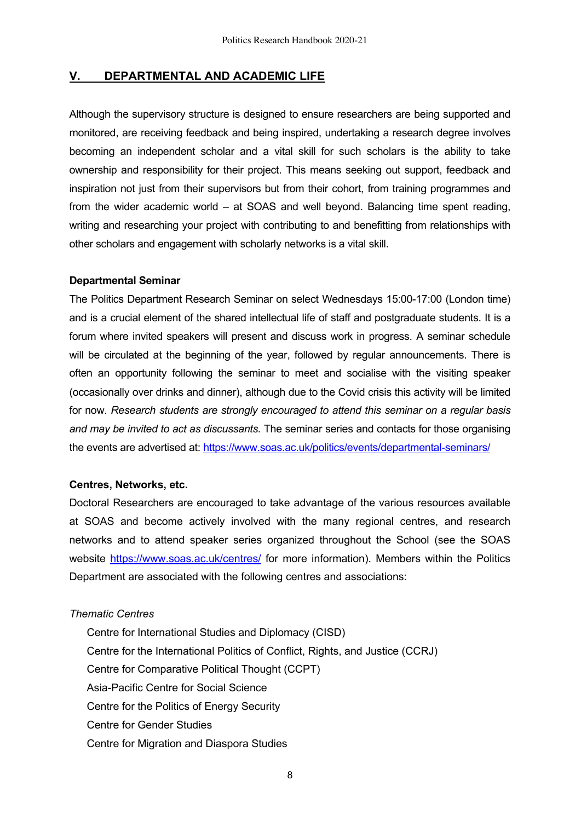# **V. DEPARTMENTAL AND ACADEMIC LIFE**

Although the supervisory structure is designed to ensure researchers are being supported and monitored, are receiving feedback and being inspired, undertaking a research degree involves becoming an independent scholar and a vital skill for such scholars is the ability to take ownership and responsibility for their project. This means seeking out support, feedback and inspiration not just from their supervisors but from their cohort, from training programmes and from the wider academic world – at SOAS and well beyond. Balancing time spent reading, writing and researching your project with contributing to and benefitting from relationships with other scholars and engagement with scholarly networks is a vital skill.

#### **Departmental Seminar**

The Politics Department Research Seminar on select Wednesdays 15:00-17:00 (London time) and is a crucial element of the shared intellectual life of staff and postgraduate students. It is a forum where invited speakers will present and discuss work in progress. A seminar schedule will be circulated at the beginning of the year, followed by regular announcements. There is often an opportunity following the seminar to meet and socialise with the visiting speaker (occasionally over drinks and dinner), although due to the Covid crisis this activity will be limited for now. *Research students are strongly encouraged to attend this seminar on a regular basis and may be invited to act as discussants.* The seminar series and contacts for those organising the events are advertised at: https://www.soas.ac.uk/politics/events/departmental-seminars/

### **Centres, Networks, etc.**

Doctoral Researchers are encouraged to take advantage of the various resources available at SOAS and become actively involved with the many regional centres, and research networks and to attend speaker series organized throughout the School (see the SOAS website https://www.soas.ac.uk/centres/ for more information). Members within the Politics Department are associated with the following centres and associations:

### *Thematic Centres*

Centre for International Studies and Diplomacy (CISD) Centre for the International Politics of Conflict, Rights, and Justice (CCRJ) Centre for Comparative Political Thought (CCPT) Asia-Pacific Centre for Social Science Centre for the Politics of Energy Security Centre for Gender Studies Centre for Migration and Diaspora Studies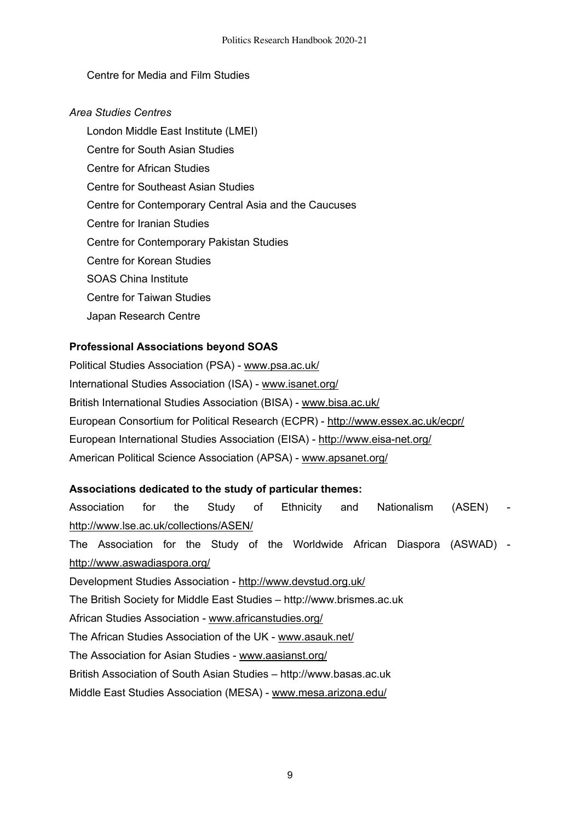## Centre for Media and Film Studies

## *Area Studies Centres*

London Middle East Institute (LMEI) Centre for South Asian Studies Centre for African Studies Centre for Southeast Asian Studies Centre for Contemporary Central Asia and the Caucuses Centre for Iranian Studies Centre for Contemporary Pakistan Studies Centre for Korean Studies SOAS China Institute Centre for Taiwan Studies Japan Research Centre

# **Professional Associations beyond SOAS**

Political Studies Association (PSA) - www.psa.ac.uk/ International Studies Association (ISA) - www.isanet.org/ British International Studies Association (BISA) - www.bisa.ac.uk/ European Consortium for Political Research (ECPR) - http://www.essex.ac.uk/ecpr/ European International Studies Association (EISA) - http://www.eisa-net.org/ American Political Science Association (APSA) - www.apsanet.org/

### **Associations dedicated to the study of particular themes:**

Association for the Study of Ethnicity and Nationalism (ASEN) http://www.lse.ac.uk/collections/ASEN/ The Association for the Study of the Worldwide African Diaspora (ASWAD) http://www.aswadiaspora.org/ Development Studies Association - http://www.devstud.org.uk/ The British Society for Middle East Studies – http://www.brismes.ac.uk African Studies Association - www.africanstudies.org/ The African Studies Association of the UK - www.asauk.net/ The Association for Asian Studies - www.aasianst.org/ British Association of South Asian Studies – http://www.basas.ac.uk Middle East Studies Association (MESA) - www.mesa.arizona.edu/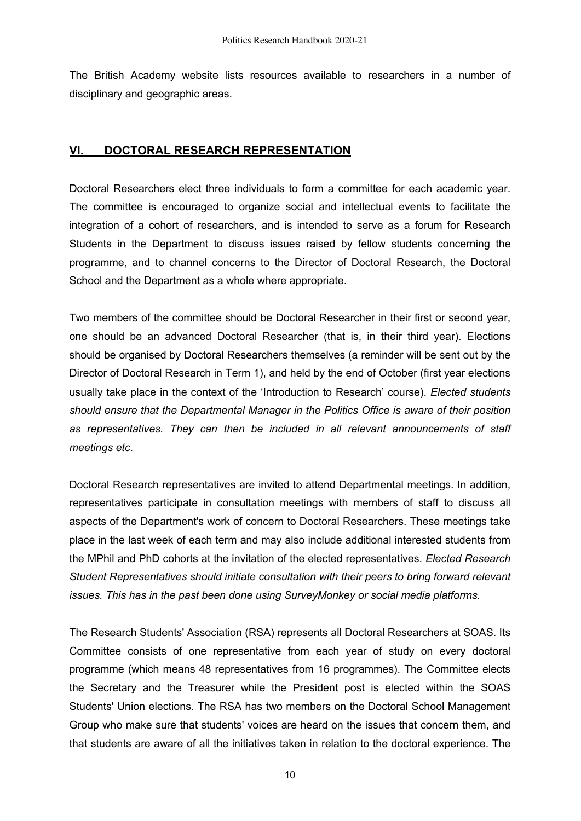The British Academy website lists resources available to researchers in a number of disciplinary and geographic areas.

# **VI. DOCTORAL RESEARCH REPRESENTATION**

Doctoral Researchers elect three individuals to form a committee for each academic year. The committee is encouraged to organize social and intellectual events to facilitate the integration of a cohort of researchers, and is intended to serve as a forum for Research Students in the Department to discuss issues raised by fellow students concerning the programme, and to channel concerns to the Director of Doctoral Research, the Doctoral School and the Department as a whole where appropriate.

Two members of the committee should be Doctoral Researcher in their first or second year, one should be an advanced Doctoral Researcher (that is, in their third year). Elections should be organised by Doctoral Researchers themselves (a reminder will be sent out by the Director of Doctoral Research in Term 1), and held by the end of October (first year elections usually take place in the context of the 'Introduction to Research' course). *Elected students should ensure that the Departmental Manager in the Politics Office is aware of their position as representatives. They can then be included in all relevant announcements of staff meetings etc*.

Doctoral Research representatives are invited to attend Departmental meetings. In addition, representatives participate in consultation meetings with members of staff to discuss all aspects of the Department's work of concern to Doctoral Researchers. These meetings take place in the last week of each term and may also include additional interested students from the MPhil and PhD cohorts at the invitation of the elected representatives. *Elected Research Student Representatives should initiate consultation with their peers to bring forward relevant issues. This has in the past been done using SurveyMonkey or social media platforms.*

The Research Students' Association (RSA) represents all Doctoral Researchers at SOAS. Its Committee consists of one representative from each year of study on every doctoral programme (which means 48 representatives from 16 programmes). The Committee elects the Secretary and the Treasurer while the President post is elected within the SOAS Students' Union elections. The RSA has two members on the Doctoral School Management Group who make sure that students' voices are heard on the issues that concern them, and that students are aware of all the initiatives taken in relation to the doctoral experience. The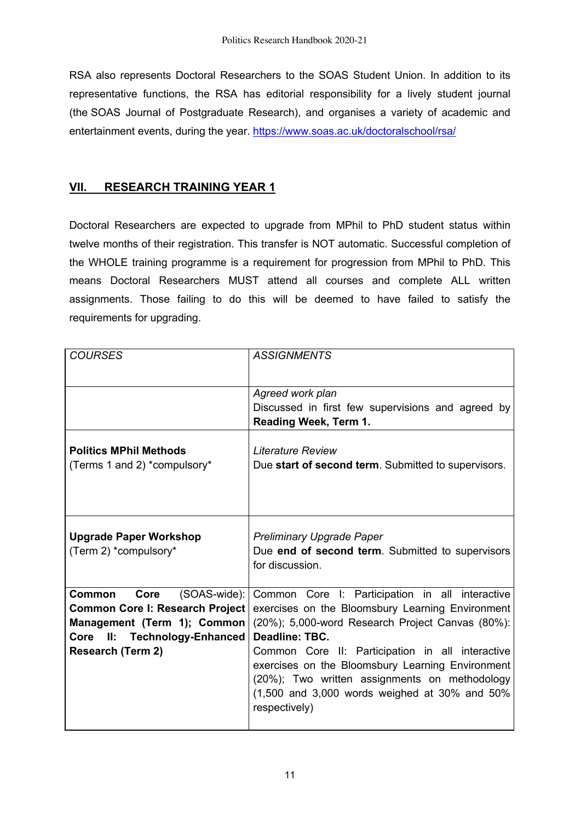RSA also represents Doctoral Researchers to the SOAS Student Union. In addition to its representative functions, the RSA has editorial responsibility for a lively student journal (the SOAS Journal of Postgraduate Research), and organises a variety of academic and entertainment events, during the year. https://www.soas.ac.uk/doctoralschool/rsa/

# **VII. RESEARCH TRAINING YEAR 1**

Doctoral Researchers are expected to upgrade from MPhil to PhD student status within twelve months of their registration. This transfer is NOT automatic. Successful completion of the WHOLE training programme is a requirement for progression from MPhil to PhD. This means Doctoral Researchers MUST attend all courses and complete ALL written assignments. Those failing to do this will be deemed to have failed to satisfy the requirements for upgrading.

| <b>COURSES</b>                                                                                                                                                        | <b>ASSIGNMENTS</b>                                                                                                                                                                                                                                                                                                                                                                                     |
|-----------------------------------------------------------------------------------------------------------------------------------------------------------------------|--------------------------------------------------------------------------------------------------------------------------------------------------------------------------------------------------------------------------------------------------------------------------------------------------------------------------------------------------------------------------------------------------------|
|                                                                                                                                                                       | Agreed work plan<br>Discussed in first few supervisions and agreed by<br>Reading Week, Term 1.                                                                                                                                                                                                                                                                                                         |
| <b>Politics MPhil Methods</b><br>(Terms 1 and 2) *compulsory*                                                                                                         | Literature Review<br>Due start of second term. Submitted to supervisors.                                                                                                                                                                                                                                                                                                                               |
| <b>Upgrade Paper Workshop</b><br>(Term 2) *compulsory*                                                                                                                | Preliminary Upgrade Paper<br>Due end of second term. Submitted to supervisors<br>for discussion.                                                                                                                                                                                                                                                                                                       |
| Core<br>$(SOAS-wide):$<br><b>Common</b><br>Common Core I: Research Project<br>Management (Term 1); Common<br>Core II: Technology-Enhanced<br><b>Research (Term 2)</b> | Common Core I: Participation in all interactive<br>exercises on the Bloomsbury Learning Environment<br>(20%); 5,000-word Research Project Canvas (80%):<br>Deadline: TBC.<br>Common Core II: Participation in all interactive<br>exercises on the Bloomsbury Learning Environment<br>(20%); Two written assignments on methodology<br>$(1,500$ and 3,000 words weighed at 30% and 50%<br>respectively) |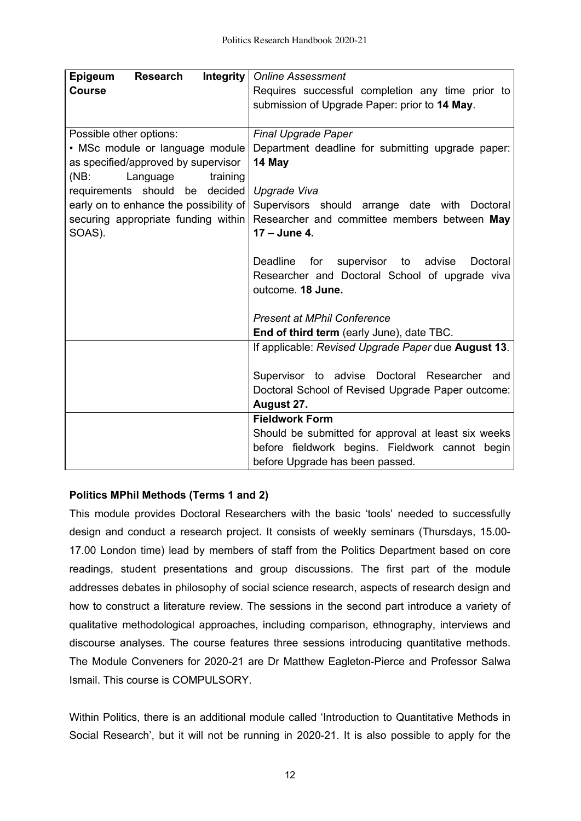| Integrity<br><b>Research</b><br>Epigeum                                                    | <b>Online Assessment</b>                                      |  |
|--------------------------------------------------------------------------------------------|---------------------------------------------------------------|--|
| <b>Course</b>                                                                              | Requires successful completion any time prior to              |  |
|                                                                                            | submission of Upgrade Paper: prior to 14 May.                 |  |
|                                                                                            |                                                               |  |
| Possible other options:                                                                    | <b>Final Upgrade Paper</b>                                    |  |
| • MSc module or language module                                                            | Department deadline for submitting upgrade paper:             |  |
| as specified/approved by supervisor                                                        | 14 May                                                        |  |
| (NB:<br>Language<br>training                                                               |                                                               |  |
| requirements should be<br>decided                                                          | Upgrade Viva                                                  |  |
| early on to enhance the possibility of<br>Supervisors should arrange date with<br>Doctoral |                                                               |  |
| securing appropriate funding within<br>Researcher and committee members between May        |                                                               |  |
| SOAS).                                                                                     | 17 - June 4.                                                  |  |
|                                                                                            |                                                               |  |
|                                                                                            | <b>Deadline</b><br>for<br>supervisor to<br>advise<br>Doctoral |  |
|                                                                                            | Researcher and Doctoral School of upgrade viva                |  |
|                                                                                            | outcome. 18 June.                                             |  |
|                                                                                            |                                                               |  |
|                                                                                            | <b>Present at MPhil Conference</b>                            |  |
|                                                                                            | End of third term (early June), date TBC.                     |  |
|                                                                                            | If applicable: Revised Upgrade Paper due August 13.           |  |
|                                                                                            |                                                               |  |
|                                                                                            | Supervisor to advise Doctoral Researcher and                  |  |
|                                                                                            | Doctoral School of Revised Upgrade Paper outcome:             |  |
|                                                                                            | August 27.                                                    |  |
|                                                                                            | <b>Fieldwork Form</b>                                         |  |
|                                                                                            | Should be submitted for approval at least six weeks           |  |
|                                                                                            | before fieldwork begins. Fieldwork cannot begin               |  |
|                                                                                            | before Upgrade has been passed.                               |  |

# **Politics MPhil Methods (Terms 1 and 2)**

This module provides Doctoral Researchers with the basic 'tools' needed to successfully design and conduct a research project. It consists of weekly seminars (Thursdays, 15.00- 17.00 London time) lead by members of staff from the Politics Department based on core readings, student presentations and group discussions. The first part of the module addresses debates in philosophy of social science research, aspects of research design and how to construct a literature review. The sessions in the second part introduce a variety of qualitative methodological approaches, including comparison, ethnography, interviews and discourse analyses. The course features three sessions introducing quantitative methods. The Module Conveners for 2020-21 are Dr Matthew Eagleton-Pierce and Professor Salwa Ismail. This course is COMPULSORY

Within Politics, there is an additional module called 'Introduction to Quantitative Methods in Social Research', but it will not be running in 2020-21. It is also possible to apply for the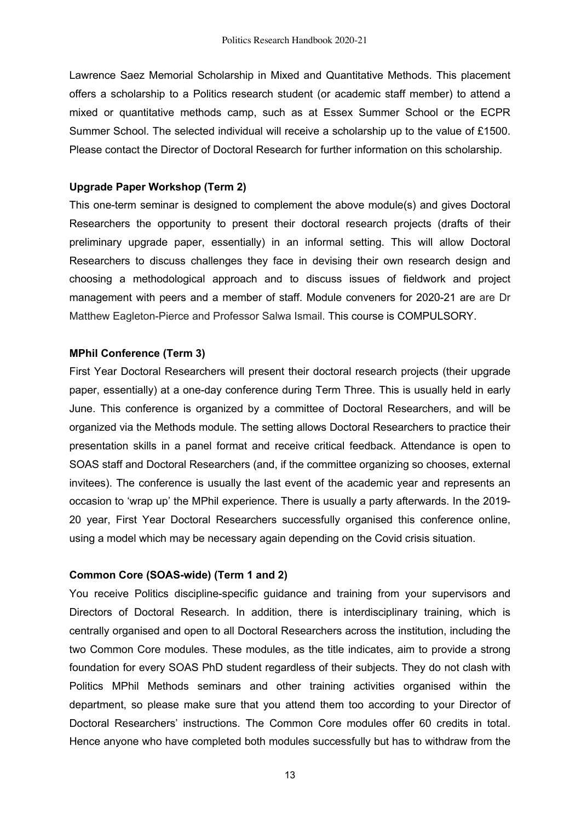Lawrence Saez Memorial Scholarship in Mixed and Quantitative Methods. This placement offers a scholarship to a Politics research student (or academic staff member) to attend a mixed or quantitative methods camp, such as at Essex Summer School or the ECPR Summer School. The selected individual will receive a scholarship up to the value of £1500. Please contact the Director of Doctoral Research for further information on this scholarship.

### **Upgrade Paper Workshop (Term 2)**

This one-term seminar is designed to complement the above module(s) and gives Doctoral Researchers the opportunity to present their doctoral research projects (drafts of their preliminary upgrade paper, essentially) in an informal setting. This will allow Doctoral Researchers to discuss challenges they face in devising their own research design and choosing a methodological approach and to discuss issues of fieldwork and project management with peers and a member of staff. Module conveners for 2020-21 are are Dr Matthew Eagleton-Pierce and Professor Salwa Ismail. This course is COMPULSORY.

### **MPhil Conference (Term 3)**

First Year Doctoral Researchers will present their doctoral research projects (their upgrade paper, essentially) at a one-day conference during Term Three. This is usually held in early June. This conference is organized by a committee of Doctoral Researchers, and will be organized via the Methods module. The setting allows Doctoral Researchers to practice their presentation skills in a panel format and receive critical feedback. Attendance is open to SOAS staff and Doctoral Researchers (and, if the committee organizing so chooses, external invitees). The conference is usually the last event of the academic year and represents an occasion to 'wrap up' the MPhil experience. There is usually a party afterwards. In the 2019- 20 year, First Year Doctoral Researchers successfully organised this conference online, using a model which may be necessary again depending on the Covid crisis situation.

### **Common Core (SOAS-wide) (Term 1 and 2)**

You receive Politics discipline-specific guidance and training from your supervisors and Directors of Doctoral Research. In addition, there is interdisciplinary training, which is centrally organised and open to all Doctoral Researchers across the institution, including the two Common Core modules. These modules, as the title indicates, aim to provide a strong foundation for every SOAS PhD student regardless of their subjects. They do not clash with Politics MPhil Methods seminars and other training activities organised within the department, so please make sure that you attend them too according to your Director of Doctoral Researchers' instructions. The Common Core modules offer 60 credits in total. Hence anyone who have completed both modules successfully but has to withdraw from the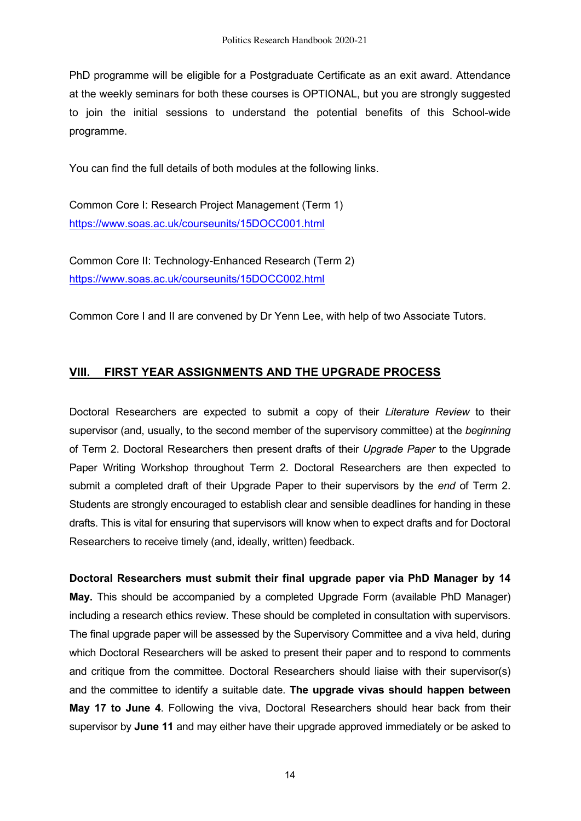PhD programme will be eligible for a Postgraduate Certificate as an exit award. Attendance at the weekly seminars for both these courses is OPTIONAL, but you are strongly suggested to join the initial sessions to understand the potential benefits of this School-wide programme.

You can find the full details of both modules at the following links.

Common Core I: Research Project Management (Term 1) https://www.soas.ac.uk/courseunits/15DOCC001.html

Common Core II: Technology-Enhanced Research (Term 2) https://www.soas.ac.uk/courseunits/15DOCC002.html

Common Core I and II are convened by Dr Yenn Lee, with help of two Associate Tutors.

# **VIII. FIRST YEAR ASSIGNMENTS AND THE UPGRADE PROCESS**

Doctoral Researchers are expected to submit a copy of their *Literature Review* to their supervisor (and, usually, to the second member of the supervisory committee) at the *beginning* of Term 2. Doctoral Researchers then present drafts of their *Upgrade Paper* to the Upgrade Paper Writing Workshop throughout Term 2. Doctoral Researchers are then expected to submit a completed draft of their Upgrade Paper to their supervisors by the *end* of Term 2. Students are strongly encouraged to establish clear and sensible deadlines for handing in these drafts. This is vital for ensuring that supervisors will know when to expect drafts and for Doctoral Researchers to receive timely (and, ideally, written) feedback.

**Doctoral Researchers must submit their final upgrade paper via PhD Manager by 14 May.** This should be accompanied by a completed Upgrade Form (available PhD Manager) including a research ethics review. These should be completed in consultation with supervisors. The final upgrade paper will be assessed by the Supervisory Committee and a viva held, during which Doctoral Researchers will be asked to present their paper and to respond to comments and critique from the committee. Doctoral Researchers should liaise with their supervisor(s) and the committee to identify a suitable date. **The upgrade vivas should happen between May 17 to June 4**. Following the viva, Doctoral Researchers should hear back from their supervisor by **June 11** and may either have their upgrade approved immediately or be asked to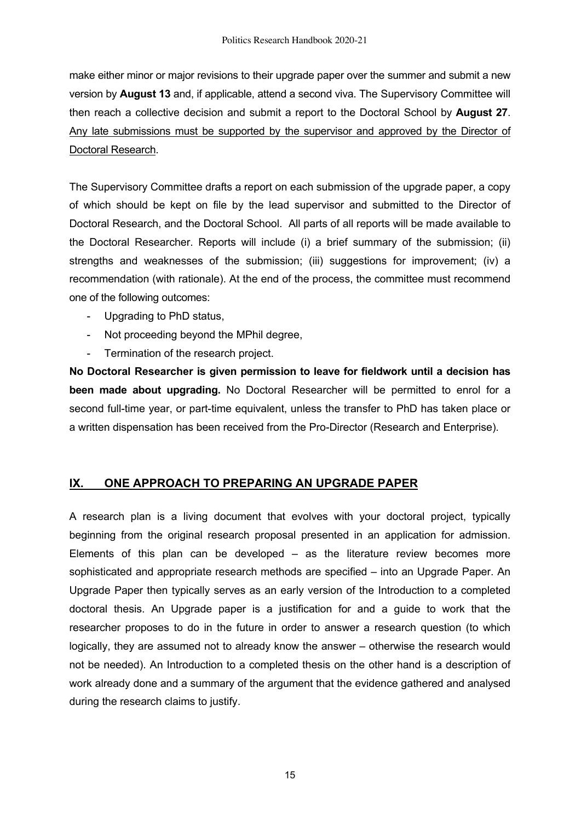make either minor or major revisions to their upgrade paper over the summer and submit a new version by **August 13** and, if applicable, attend a second viva. The Supervisory Committee will then reach a collective decision and submit a report to the Doctoral School by **August 27**. Any late submissions must be supported by the supervisor and approved by the Director of Doctoral Research.

The Supervisory Committee drafts a report on each submission of the upgrade paper, a copy of which should be kept on file by the lead supervisor and submitted to the Director of Doctoral Research, and the Doctoral School. All parts of all reports will be made available to the Doctoral Researcher. Reports will include (i) a brief summary of the submission; (ii) strengths and weaknesses of the submission; (iii) suggestions for improvement; (iv) a recommendation (with rationale). At the end of the process, the committee must recommend one of the following outcomes:

- Upgrading to PhD status,
- Not proceeding beyond the MPhil degree,
- Termination of the research project.

**No Doctoral Researcher is given permission to leave for fieldwork until a decision has been made about upgrading.** No Doctoral Researcher will be permitted to enrol for a second full-time year, or part-time equivalent, unless the transfer to PhD has taken place or a written dispensation has been received from the Pro-Director (Research and Enterprise).

# **IX. ONE APPROACH TO PREPARING AN UPGRADE PAPER**

A research plan is a living document that evolves with your doctoral project, typically beginning from the original research proposal presented in an application for admission. Elements of this plan can be developed – as the literature review becomes more sophisticated and appropriate research methods are specified – into an Upgrade Paper. An Upgrade Paper then typically serves as an early version of the Introduction to a completed doctoral thesis. An Upgrade paper is a justification for and a guide to work that the researcher proposes to do in the future in order to answer a research question (to which logically, they are assumed not to already know the answer – otherwise the research would not be needed). An Introduction to a completed thesis on the other hand is a description of work already done and a summary of the argument that the evidence gathered and analysed during the research claims to justify.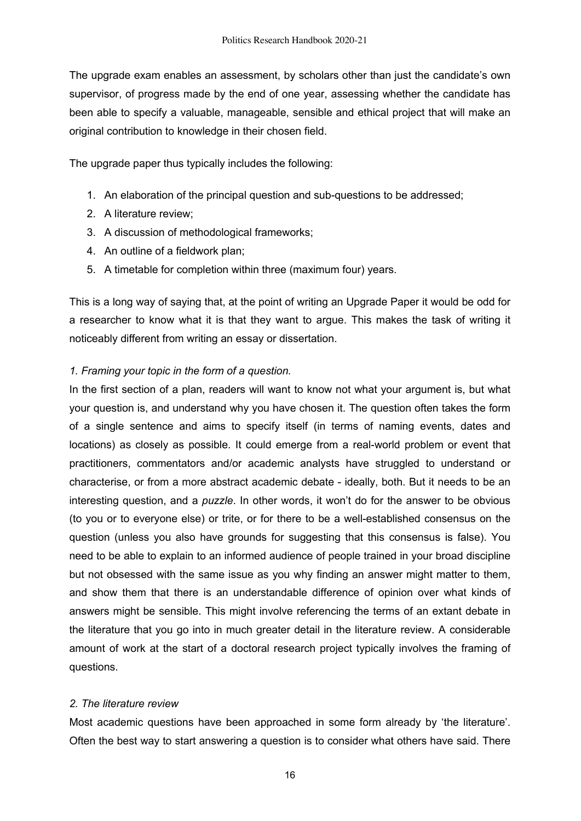The upgrade exam enables an assessment, by scholars other than just the candidate's own supervisor, of progress made by the end of one year, assessing whether the candidate has been able to specify a valuable, manageable, sensible and ethical project that will make an original contribution to knowledge in their chosen field.

The upgrade paper thus typically includes the following:

- 1. An elaboration of the principal question and sub-questions to be addressed;
- 2. A literature review;
- 3. A discussion of methodological frameworks;
- 4. An outline of a fieldwork plan;
- 5. A timetable for completion within three (maximum four) years.

This is a long way of saying that, at the point of writing an Upgrade Paper it would be odd for a researcher to know what it is that they want to argue. This makes the task of writing it noticeably different from writing an essay or dissertation.

# *1. Framing your topic in the form of a question.*

In the first section of a plan, readers will want to know not what your argument is, but what your question is, and understand why you have chosen it. The question often takes the form of a single sentence and aims to specify itself (in terms of naming events, dates and locations) as closely as possible. It could emerge from a real-world problem or event that practitioners, commentators and/or academic analysts have struggled to understand or characterise, or from a more abstract academic debate - ideally, both. But it needs to be an interesting question, and a *puzzle*. In other words, it won't do for the answer to be obvious (to you or to everyone else) or trite, or for there to be a well-established consensus on the question (unless you also have grounds for suggesting that this consensus is false). You need to be able to explain to an informed audience of people trained in your broad discipline but not obsessed with the same issue as you why finding an answer might matter to them, and show them that there is an understandable difference of opinion over what kinds of answers might be sensible. This might involve referencing the terms of an extant debate in the literature that you go into in much greater detail in the literature review. A considerable amount of work at the start of a doctoral research project typically involves the framing of questions.

### *2. The literature review*

Most academic questions have been approached in some form already by 'the literature'. Often the best way to start answering a question is to consider what others have said. There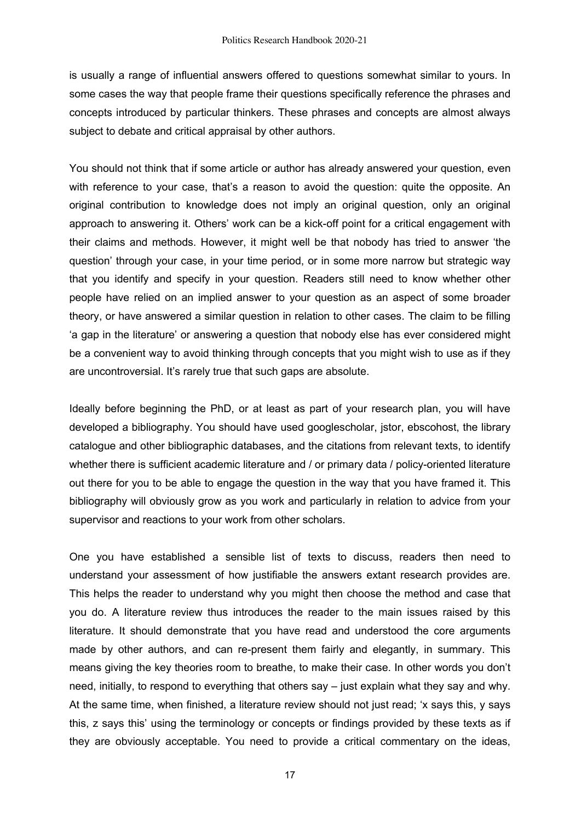is usually a range of influential answers offered to questions somewhat similar to yours. In some cases the way that people frame their questions specifically reference the phrases and concepts introduced by particular thinkers. These phrases and concepts are almost always subject to debate and critical appraisal by other authors.

You should not think that if some article or author has already answered your question, even with reference to your case, that's a reason to avoid the question: quite the opposite. An original contribution to knowledge does not imply an original question, only an original approach to answering it. Others' work can be a kick-off point for a critical engagement with their claims and methods. However, it might well be that nobody has tried to answer 'the question' through your case, in your time period, or in some more narrow but strategic way that you identify and specify in your question. Readers still need to know whether other people have relied on an implied answer to your question as an aspect of some broader theory, or have answered a similar question in relation to other cases. The claim to be filling 'a gap in the literature' or answering a question that nobody else has ever considered might be a convenient way to avoid thinking through concepts that you might wish to use as if they are uncontroversial. It's rarely true that such gaps are absolute.

Ideally before beginning the PhD, or at least as part of your research plan, you will have developed a bibliography. You should have used googlescholar, jstor, ebscohost, the library catalogue and other bibliographic databases, and the citations from relevant texts, to identify whether there is sufficient academic literature and / or primary data / policy-oriented literature out there for you to be able to engage the question in the way that you have framed it. This bibliography will obviously grow as you work and particularly in relation to advice from your supervisor and reactions to your work from other scholars.

One you have established a sensible list of texts to discuss, readers then need to understand your assessment of how justifiable the answers extant research provides are. This helps the reader to understand why you might then choose the method and case that you do. A literature review thus introduces the reader to the main issues raised by this literature. It should demonstrate that you have read and understood the core arguments made by other authors, and can re-present them fairly and elegantly, in summary. This means giving the key theories room to breathe, to make their case. In other words you don't need, initially, to respond to everything that others say – just explain what they say and why. At the same time, when finished, a literature review should not just read; 'x says this, y says this, z says this' using the terminology or concepts or findings provided by these texts as if they are obviously acceptable. You need to provide a critical commentary on the ideas,

17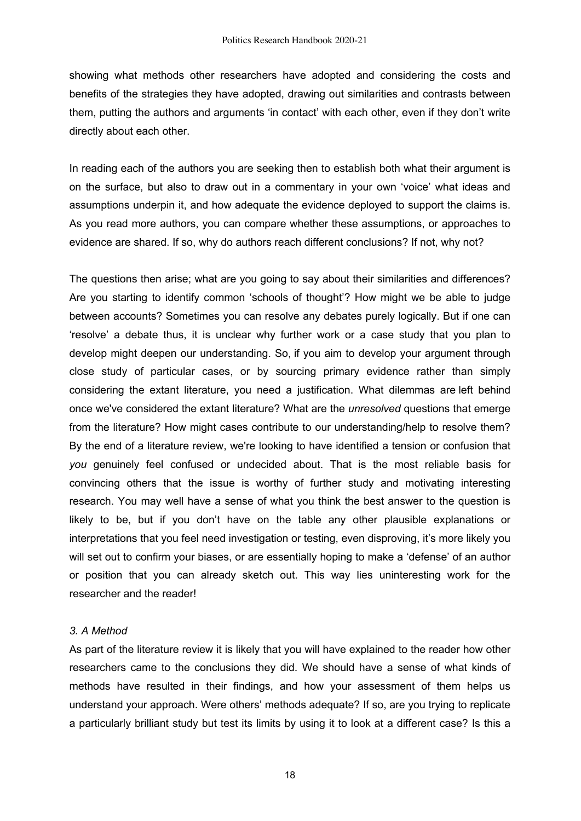showing what methods other researchers have adopted and considering the costs and benefits of the strategies they have adopted, drawing out similarities and contrasts between them, putting the authors and arguments 'in contact' with each other, even if they don't write directly about each other.

In reading each of the authors you are seeking then to establish both what their argument is on the surface, but also to draw out in a commentary in your own 'voice' what ideas and assumptions underpin it, and how adequate the evidence deployed to support the claims is. As you read more authors, you can compare whether these assumptions, or approaches to evidence are shared. If so, why do authors reach different conclusions? If not, why not?

The questions then arise; what are you going to say about their similarities and differences? Are you starting to identify common 'schools of thought'? How might we be able to judge between accounts? Sometimes you can resolve any debates purely logically. But if one can 'resolve' a debate thus, it is unclear why further work or a case study that you plan to develop might deepen our understanding. So, if you aim to develop your argument through close study of particular cases, or by sourcing primary evidence rather than simply considering the extant literature, you need a justification. What dilemmas are left behind once we've considered the extant literature? What are the *unresolved* questions that emerge from the literature? How might cases contribute to our understanding/help to resolve them? By the end of a literature review, we're looking to have identified a tension or confusion that *you* genuinely feel confused or undecided about. That is the most reliable basis for convincing others that the issue is worthy of further study and motivating interesting research. You may well have a sense of what you think the best answer to the question is likely to be, but if you don't have on the table any other plausible explanations or interpretations that you feel need investigation or testing, even disproving, it's more likely you will set out to confirm your biases, or are essentially hoping to make a 'defense' of an author or position that you can already sketch out. This way lies uninteresting work for the researcher and the reader!

#### *3. A Method*

As part of the literature review it is likely that you will have explained to the reader how other researchers came to the conclusions they did. We should have a sense of what kinds of methods have resulted in their findings, and how your assessment of them helps us understand your approach. Were others' methods adequate? If so, are you trying to replicate a particularly brilliant study but test its limits by using it to look at a different case? Is this a

18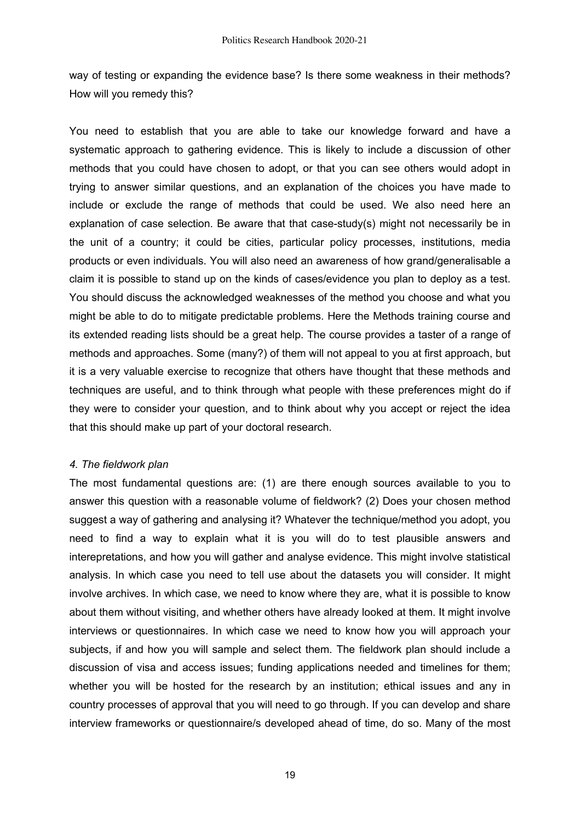way of testing or expanding the evidence base? Is there some weakness in their methods? How will you remedy this?

You need to establish that you are able to take our knowledge forward and have a systematic approach to gathering evidence. This is likely to include a discussion of other methods that you could have chosen to adopt, or that you can see others would adopt in trying to answer similar questions, and an explanation of the choices you have made to include or exclude the range of methods that could be used. We also need here an explanation of case selection. Be aware that that case-study(s) might not necessarily be in the unit of a country; it could be cities, particular policy processes, institutions, media products or even individuals. You will also need an awareness of how grand/generalisable a claim it is possible to stand up on the kinds of cases/evidence you plan to deploy as a test. You should discuss the acknowledged weaknesses of the method you choose and what you might be able to do to mitigate predictable problems. Here the Methods training course and its extended reading lists should be a great help. The course provides a taster of a range of methods and approaches. Some (many?) of them will not appeal to you at first approach, but it is a very valuable exercise to recognize that others have thought that these methods and techniques are useful, and to think through what people with these preferences might do if they were to consider your question, and to think about why you accept or reject the idea that this should make up part of your doctoral research.

### *4. The fieldwork plan*

The most fundamental questions are: (1) are there enough sources available to you to answer this question with a reasonable volume of fieldwork? (2) Does your chosen method suggest a way of gathering and analysing it? Whatever the technique/method you adopt, you need to find a way to explain what it is you will do to test plausible answers and interepretations, and how you will gather and analyse evidence. This might involve statistical analysis. In which case you need to tell use about the datasets you will consider. It might involve archives. In which case, we need to know where they are, what it is possible to know about them without visiting, and whether others have already looked at them. It might involve interviews or questionnaires. In which case we need to know how you will approach your subjects, if and how you will sample and select them. The fieldwork plan should include a discussion of visa and access issues; funding applications needed and timelines for them; whether you will be hosted for the research by an institution; ethical issues and any in country processes of approval that you will need to go through. If you can develop and share interview frameworks or questionnaire/s developed ahead of time, do so. Many of the most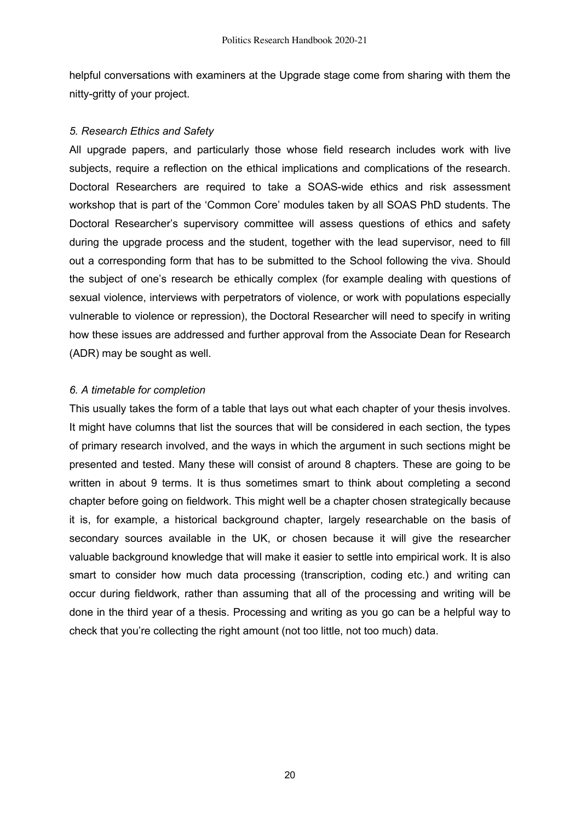helpful conversations with examiners at the Upgrade stage come from sharing with them the nitty-gritty of your project.

#### *5. Research Ethics and Safety*

All upgrade papers, and particularly those whose field research includes work with live subjects, require a reflection on the ethical implications and complications of the research. Doctoral Researchers are required to take a SOAS-wide ethics and risk assessment workshop that is part of the 'Common Core' modules taken by all SOAS PhD students. The Doctoral Researcher's supervisory committee will assess questions of ethics and safety during the upgrade process and the student, together with the lead supervisor, need to fill out a corresponding form that has to be submitted to the School following the viva. Should the subject of one's research be ethically complex (for example dealing with questions of sexual violence, interviews with perpetrators of violence, or work with populations especially vulnerable to violence or repression), the Doctoral Researcher will need to specify in writing how these issues are addressed and further approval from the Associate Dean for Research (ADR) may be sought as well.

### *6. A timetable for completion*

This usually takes the form of a table that lays out what each chapter of your thesis involves. It might have columns that list the sources that will be considered in each section, the types of primary research involved, and the ways in which the argument in such sections might be presented and tested. Many these will consist of around 8 chapters. These are going to be written in about 9 terms. It is thus sometimes smart to think about completing a second chapter before going on fieldwork. This might well be a chapter chosen strategically because it is, for example, a historical background chapter, largely researchable on the basis of secondary sources available in the UK, or chosen because it will give the researcher valuable background knowledge that will make it easier to settle into empirical work. It is also smart to consider how much data processing (transcription, coding etc.) and writing can occur during fieldwork, rather than assuming that all of the processing and writing will be done in the third year of a thesis. Processing and writing as you go can be a helpful way to check that you're collecting the right amount (not too little, not too much) data.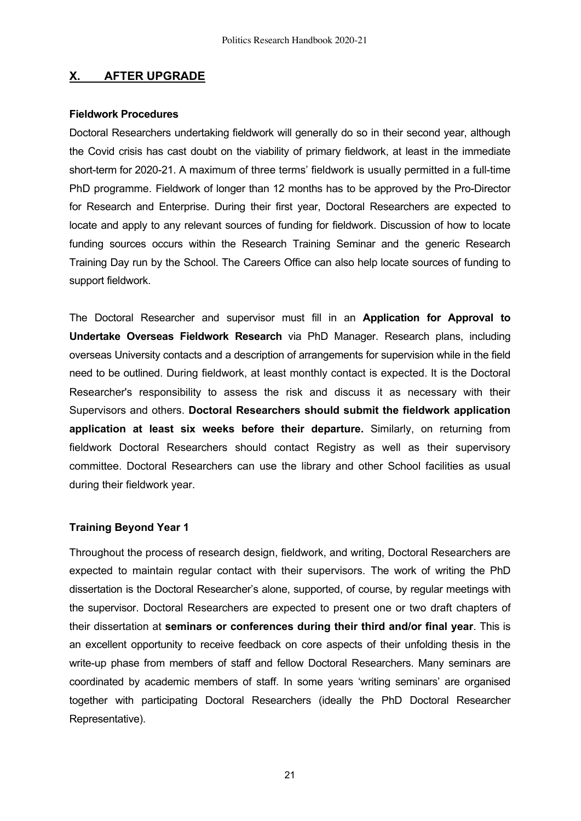### **X. AFTER UPGRADE**

#### **Fieldwork Procedures**

Doctoral Researchers undertaking fieldwork will generally do so in their second year, although the Covid crisis has cast doubt on the viability of primary fieldwork, at least in the immediate short-term for 2020-21. A maximum of three terms' fieldwork is usually permitted in a full-time PhD programme. Fieldwork of longer than 12 months has to be approved by the Pro-Director for Research and Enterprise. During their first year, Doctoral Researchers are expected to locate and apply to any relevant sources of funding for fieldwork. Discussion of how to locate funding sources occurs within the Research Training Seminar and the generic Research Training Day run by the School. The Careers Office can also help locate sources of funding to support fieldwork.

The Doctoral Researcher and supervisor must fill in an **Application for Approval to Undertake Overseas Fieldwork Research** via PhD Manager. Research plans, including overseas University contacts and a description of arrangements for supervision while in the field need to be outlined. During fieldwork, at least monthly contact is expected. It is the Doctoral Researcher's responsibility to assess the risk and discuss it as necessary with their Supervisors and others. **Doctoral Researchers should submit the fieldwork application application at least six weeks before their departure.** Similarly, on returning from fieldwork Doctoral Researchers should contact Registry as well as their supervisory committee. Doctoral Researchers can use the library and other School facilities as usual during their fieldwork year.

#### **Training Beyond Year 1**

Throughout the process of research design, fieldwork, and writing, Doctoral Researchers are expected to maintain regular contact with their supervisors. The work of writing the PhD dissertation is the Doctoral Researcher's alone, supported, of course, by regular meetings with the supervisor. Doctoral Researchers are expected to present one or two draft chapters of their dissertation at **seminars or conferences during their third and/or final year**. This is an excellent opportunity to receive feedback on core aspects of their unfolding thesis in the write-up phase from members of staff and fellow Doctoral Researchers. Many seminars are coordinated by academic members of staff. In some years 'writing seminars' are organised together with participating Doctoral Researchers (ideally the PhD Doctoral Researcher Representative).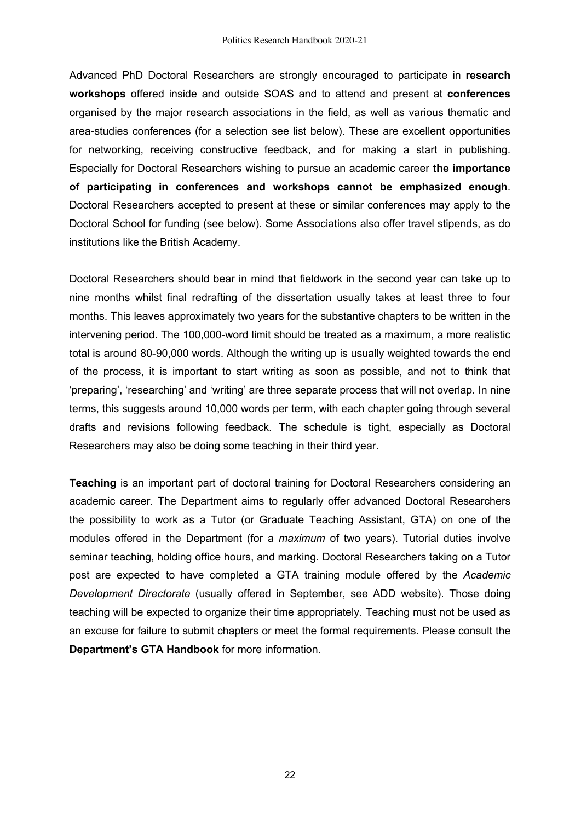Advanced PhD Doctoral Researchers are strongly encouraged to participate in **research workshops** offered inside and outside SOAS and to attend and present at **conferences** organised by the major research associations in the field, as well as various thematic and area-studies conferences (for a selection see list below). These are excellent opportunities for networking, receiving constructive feedback, and for making a start in publishing. Especially for Doctoral Researchers wishing to pursue an academic career **the importance of participating in conferences and workshops cannot be emphasized enough**. Doctoral Researchers accepted to present at these or similar conferences may apply to the Doctoral School for funding (see below). Some Associations also offer travel stipends, as do institutions like the British Academy.

Doctoral Researchers should bear in mind that fieldwork in the second year can take up to nine months whilst final redrafting of the dissertation usually takes at least three to four months. This leaves approximately two years for the substantive chapters to be written in the intervening period. The 100,000-word limit should be treated as a maximum, a more realistic total is around 80-90,000 words. Although the writing up is usually weighted towards the end of the process, it is important to start writing as soon as possible, and not to think that 'preparing', 'researching' and 'writing' are three separate process that will not overlap. In nine terms, this suggests around 10,000 words per term, with each chapter going through several drafts and revisions following feedback. The schedule is tight, especially as Doctoral Researchers may also be doing some teaching in their third year.

**Teaching** is an important part of doctoral training for Doctoral Researchers considering an academic career. The Department aims to regularly offer advanced Doctoral Researchers the possibility to work as a Tutor (or Graduate Teaching Assistant, GTA) on one of the modules offered in the Department (for a *maximum* of two years). Tutorial duties involve seminar teaching, holding office hours, and marking. Doctoral Researchers taking on a Tutor post are expected to have completed a GTA training module offered by the *Academic Development Directorate* (usually offered in September, see ADD website). Those doing teaching will be expected to organize their time appropriately. Teaching must not be used as an excuse for failure to submit chapters or meet the formal requirements. Please consult the **Department's GTA Handbook** for more information.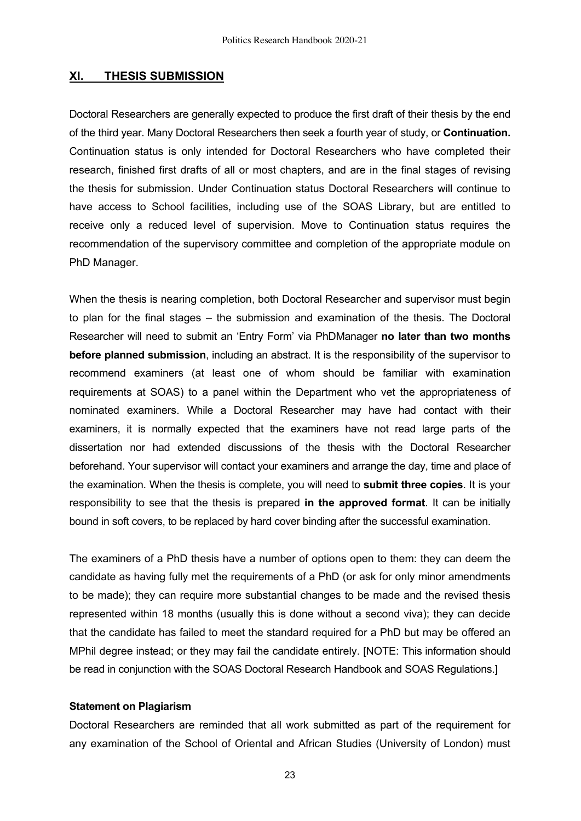### **XI. THESIS SUBMISSION**

Doctoral Researchers are generally expected to produce the first draft of their thesis by the end of the third year. Many Doctoral Researchers then seek a fourth year of study, or **Continuation.** Continuation status is only intended for Doctoral Researchers who have completed their research, finished first drafts of all or most chapters, and are in the final stages of revising the thesis for submission. Under Continuation status Doctoral Researchers will continue to have access to School facilities, including use of the SOAS Library, but are entitled to receive only a reduced level of supervision. Move to Continuation status requires the recommendation of the supervisory committee and completion of the appropriate module on PhD Manager.

When the thesis is nearing completion, both Doctoral Researcher and supervisor must begin to plan for the final stages – the submission and examination of the thesis. The Doctoral Researcher will need to submit an 'Entry Form' via PhDManager **no later than two months before planned submission**, including an abstract. It is the responsibility of the supervisor to recommend examiners (at least one of whom should be familiar with examination requirements at SOAS) to a panel within the Department who vet the appropriateness of nominated examiners. While a Doctoral Researcher may have had contact with their examiners, it is normally expected that the examiners have not read large parts of the dissertation nor had extended discussions of the thesis with the Doctoral Researcher beforehand. Your supervisor will contact your examiners and arrange the day, time and place of the examination. When the thesis is complete, you will need to **submit three copies**. It is your responsibility to see that the thesis is prepared **in the approved format**. It can be initially bound in soft covers, to be replaced by hard cover binding after the successful examination.

The examiners of a PhD thesis have a number of options open to them: they can deem the candidate as having fully met the requirements of a PhD (or ask for only minor amendments to be made); they can require more substantial changes to be made and the revised thesis represented within 18 months (usually this is done without a second viva); they can decide that the candidate has failed to meet the standard required for a PhD but may be offered an MPhil degree instead; or they may fail the candidate entirely. [NOTE: This information should be read in conjunction with the SOAS Doctoral Research Handbook and SOAS Regulations.]

#### **Statement on Plagiarism**

Doctoral Researchers are reminded that all work submitted as part of the requirement for any examination of the School of Oriental and African Studies (University of London) must

23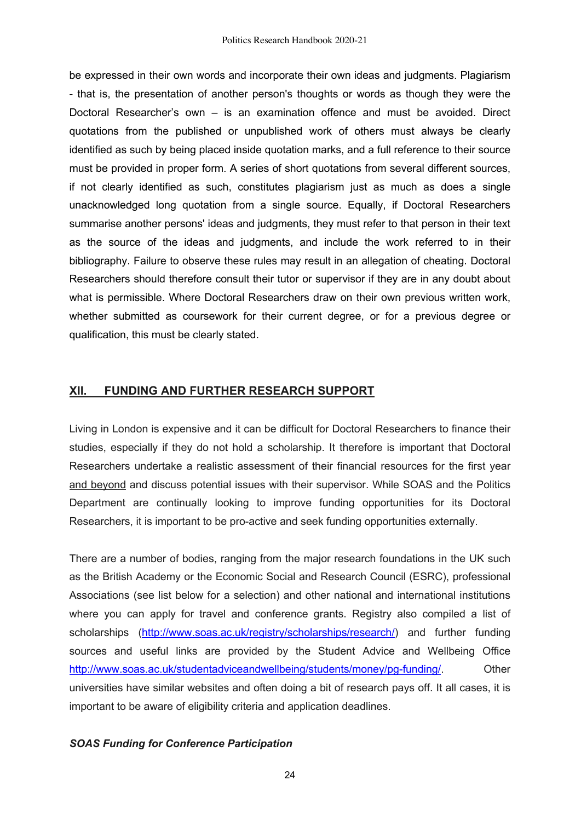be expressed in their own words and incorporate their own ideas and judgments. Plagiarism - that is, the presentation of another person's thoughts or words as though they were the Doctoral Researcher's own – is an examination offence and must be avoided. Direct quotations from the published or unpublished work of others must always be clearly identified as such by being placed inside quotation marks, and a full reference to their source must be provided in proper form. A series of short quotations from several different sources, if not clearly identified as such, constitutes plagiarism just as much as does a single unacknowledged long quotation from a single source. Equally, if Doctoral Researchers summarise another persons' ideas and judgments, they must refer to that person in their text as the source of the ideas and judgments, and include the work referred to in their bibliography. Failure to observe these rules may result in an allegation of cheating. Doctoral Researchers should therefore consult their tutor or supervisor if they are in any doubt about what is permissible. Where Doctoral Researchers draw on their own previous written work, whether submitted as coursework for their current degree, or for a previous degree or qualification, this must be clearly stated.

### **XII. FUNDING AND FURTHER RESEARCH SUPPORT**

Living in London is expensive and it can be difficult for Doctoral Researchers to finance their studies, especially if they do not hold a scholarship. It therefore is important that Doctoral Researchers undertake a realistic assessment of their financial resources for the first year and beyond and discuss potential issues with their supervisor. While SOAS and the Politics Department are continually looking to improve funding opportunities for its Doctoral Researchers, it is important to be pro-active and seek funding opportunities externally.

There are a number of bodies, ranging from the major research foundations in the UK such as the British Academy or the Economic Social and Research Council (ESRC), professional Associations (see list below for a selection) and other national and international institutions where you can apply for travel and conference grants. Registry also compiled a list of scholarships (http://www.soas.ac.uk/registry/scholarships/research/) and further funding sources and useful links are provided by the Student Advice and Wellbeing Office http://www.soas.ac.uk/studentadviceandwellbeing/students/money/pg-funding/. Other universities have similar websites and often doing a bit of research pays off. It all cases, it is important to be aware of eligibility criteria and application deadlines.

#### *SOAS Funding for Conference Participation*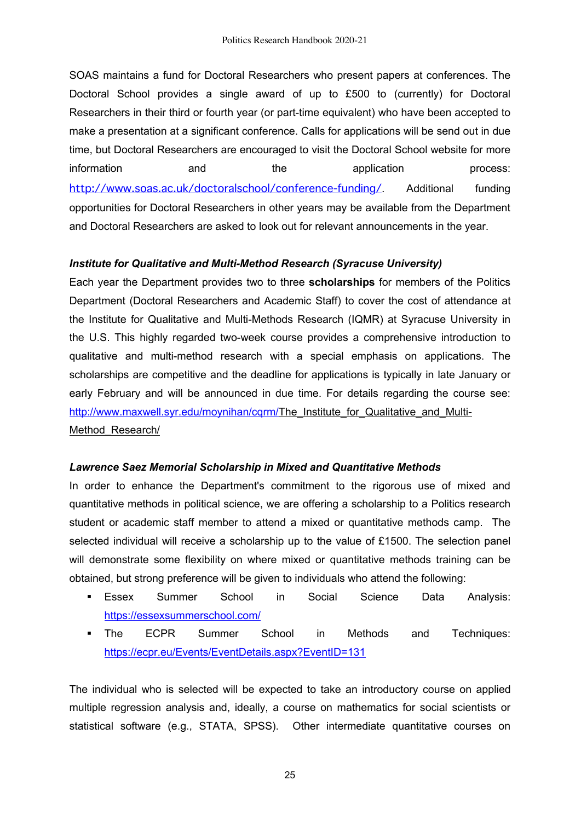SOAS maintains a fund for Doctoral Researchers who present papers at conferences. The Doctoral School provides a single award of up to £500 to (currently) for Doctoral Researchers in their third or fourth year (or part-time equivalent) who have been accepted to make a presentation at a significant conference. Calls for applications will be send out in due time, but Doctoral Researchers are encouraged to visit the Doctoral School website for more information and the application process: http://www.soas.ac.uk/doctoralschool/conference-funding/ Additional funding opportunities for Doctoral Researchers in other years may be available from the Department and Doctoral Researchers are asked to look out for relevant announcements in the year.

# *Institute for Qualitative and Multi-Method Research (Syracuse University)*

Each year the Department provides two to three **scholarships** for members of the Politics Department (Doctoral Researchers and Academic Staff) to cover the cost of attendance at the Institute for Qualitative and Multi-Methods Research (IQMR) at Syracuse University in the U.S. This highly regarded two-week course provides a comprehensive introduction to qualitative and multi-method research with a special emphasis on applications. The scholarships are competitive and the deadline for applications is typically in late January or early February and will be announced in due time. For details regarding the course see: http://www.maxwell.syr.edu/moynihan/cqrm/The\_Institute\_for\_Qualitative\_and\_Multi-Method Research/

### *Lawrence Saez Memorial Scholarship in Mixed and Quantitative Methods*

In order to enhance the Department's commitment to the rigorous use of mixed and quantitative methods in political science, we are offering a scholarship to a Politics research student or academic staff member to attend a mixed or quantitative methods camp. The selected individual will receive a scholarship up to the value of £1500. The selection panel will demonstrate some flexibility on where mixed or quantitative methods training can be obtained, but strong preference will be given to individuals who attend the following:

- Essex Summer School in Social Science Data Analysis: https://essexsummerschool.com/
- § The ECPR Summer School in Methods and Techniques: https://ecpr.eu/Events/EventDetails.aspx?EventID=131

The individual who is selected will be expected to take an introductory course on applied multiple regression analysis and, ideally, a course on mathematics for social scientists or statistical software (e.g., STATA, SPSS). Other intermediate quantitative courses on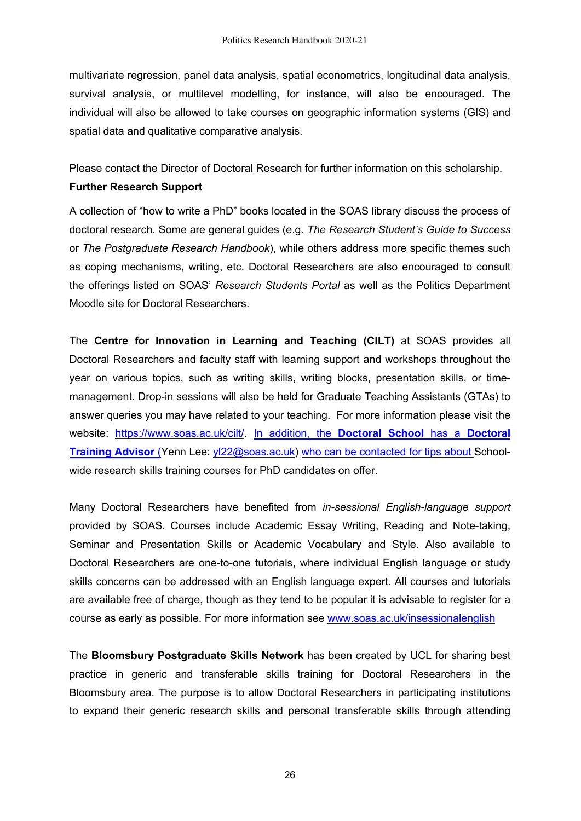multivariate regression, panel data analysis, spatial econometrics, longitudinal data analysis, survival analysis, or multilevel modelling, for instance, will also be encouraged. The individual will also be allowed to take courses on geographic information systems (GIS) and spatial data and qualitative comparative analysis.

Please contact the Director of Doctoral Research for further information on this scholarship.

### **Further Research Support**

A collection of "how to write a PhD" books located in the SOAS library discuss the process of doctoral research. Some are general guides (e.g. *The Research Student's Guide to Success* or *The Postgraduate Research Handbook*), while others address more specific themes such as coping mechanisms, writing, etc. Doctoral Researchers are also encouraged to consult the offerings listed on SOAS' *Research Students Portal* as well as the Politics Department Moodle site for Doctoral Researchers.

The **Centre for Innovation in Learning and Teaching (CILT)** at SOAS provides all Doctoral Researchers and faculty staff with learning support and workshops throughout the year on various topics, such as writing skills, writing blocks, presentation skills, or timemanagement. Drop-in sessions will also be held for Graduate Teaching Assistants (GTAs) to answer queries you may have related to your teaching. For more information please visit the website: https://www.soas.ac.uk/cilt/. In addition, the **Doctoral School** has a **Doctoral Training Advisor** (Yenn Lee: yl22@soas.ac.uk) who can be contacted for tips about Schoolwide research skills training courses for PhD candidates on offer.

Many Doctoral Researchers have benefited from *in-sessional English-language support* provided by SOAS. Courses include Academic Essay Writing, Reading and Note-taking, Seminar and Presentation Skills or Academic Vocabulary and Style. Also available to Doctoral Researchers are one-to-one tutorials, where individual English language or study skills concerns can be addressed with an English language expert. All courses and tutorials are available free of charge, though as they tend to be popular it is advisable to register for a course as early as possible. For more information see www.soas.ac.uk/insessionalenglish

The **Bloomsbury Postgraduate Skills Network** has been created by UCL for sharing best practice in generic and transferable skills training for Doctoral Researchers in the Bloomsbury area. The purpose is to allow Doctoral Researchers in participating institutions to expand their generic research skills and personal transferable skills through attending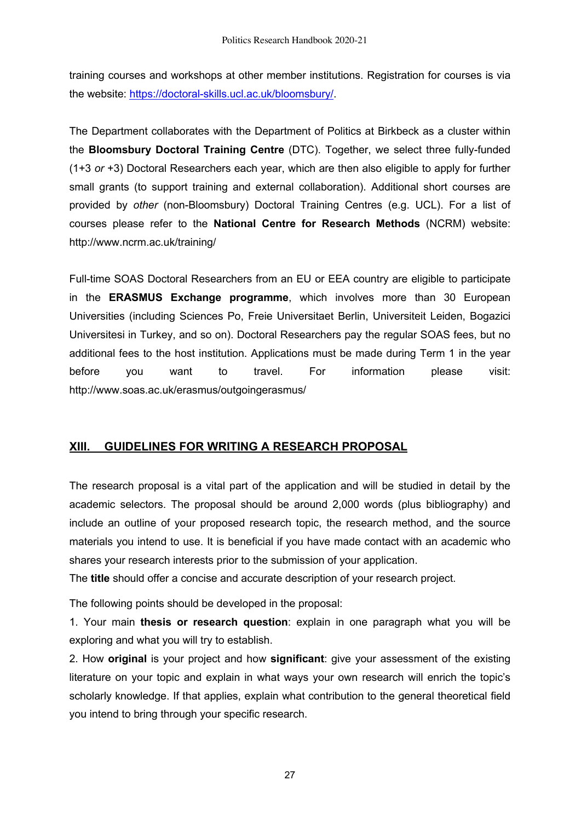training courses and workshops at other member institutions. Registration for courses is via the website: https://doctoral-skills.ucl.ac.uk/bloomsbury/.

The Department collaborates with the Department of Politics at Birkbeck as a cluster within the **Bloomsbury Doctoral Training Centre** (DTC). Together, we select three fully-funded (1+3 *or* +3) Doctoral Researchers each year, which are then also eligible to apply for further small grants (to support training and external collaboration). Additional short courses are provided by *other* (non-Bloomsbury) Doctoral Training Centres (e.g. UCL). For a list of courses please refer to the **National Centre for Research Methods** (NCRM) website: http://www.ncrm.ac.uk/training/

Full-time SOAS Doctoral Researchers from an EU or EEA country are eligible to participate in the **ERASMUS Exchange programme**, which involves more than 30 European Universities (including Sciences Po, Freie Universitaet Berlin, Universiteit Leiden, Bogazici Universitesi in Turkey, and so on). Doctoral Researchers pay the regular SOAS fees, but no additional fees to the host institution. Applications must be made during Term 1 in the year before you want to travel. For information please visit: http://www.soas.ac.uk/erasmus/outgoingerasmus/

# **XIII. GUIDELINES FOR WRITING A RESEARCH PROPOSAL**

The research proposal is a vital part of the application and will be studied in detail by the academic selectors. The proposal should be around 2,000 words (plus bibliography) and include an outline of your proposed research topic, the research method, and the source materials you intend to use. It is beneficial if you have made contact with an academic who shares your research interests prior to the submission of your application.

The **title** should offer a concise and accurate description of your research project.

The following points should be developed in the proposal:

1. Your main **thesis or research question**: explain in one paragraph what you will be exploring and what you will try to establish.

2. How **original** is your project and how **significant**: give your assessment of the existing literature on your topic and explain in what ways your own research will enrich the topic's scholarly knowledge. If that applies, explain what contribution to the general theoretical field you intend to bring through your specific research.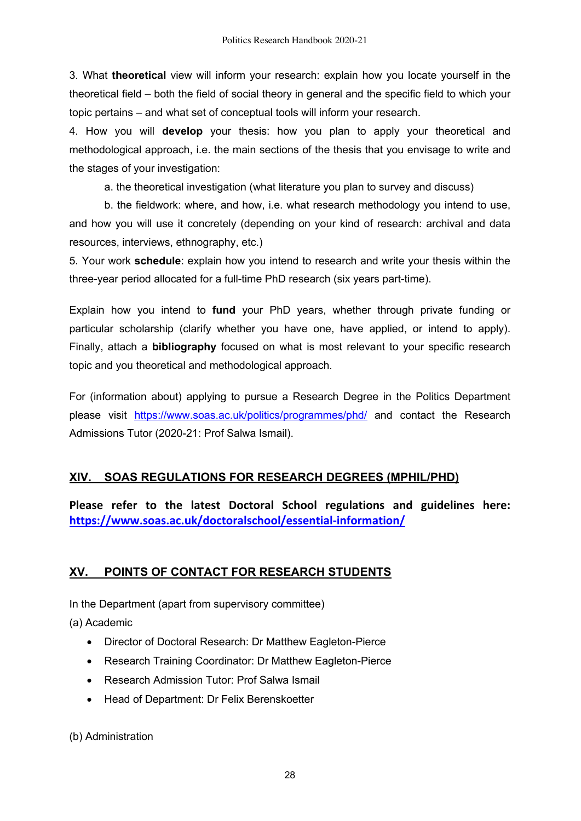3. What **theoretical** view will inform your research: explain how you locate yourself in the theoretical field – both the field of social theory in general and the specific field to which your topic pertains – and what set of conceptual tools will inform your research.

4. How you will **develop** your thesis: how you plan to apply your theoretical and methodological approach, i.e. the main sections of the thesis that you envisage to write and the stages of your investigation:

a. the theoretical investigation (what literature you plan to survey and discuss)

b. the fieldwork: where, and how, i.e. what research methodology you intend to use, and how you will use it concretely (depending on your kind of research: archival and data resources, interviews, ethnography, etc.)

5. Your work **schedule**: explain how you intend to research and write your thesis within the three-year period allocated for a full-time PhD research (six years part-time).

Explain how you intend to **fund** your PhD years, whether through private funding or particular scholarship (clarify whether you have one, have applied, or intend to apply). Finally, attach a **bibliography** focused on what is most relevant to your specific research topic and you theoretical and methodological approach.

For (information about) applying to pursue a Research Degree in the Politics Department please visit https://www.soas.ac.uk/politics/programmes/phd/ and contact the Research Admissions Tutor (2020-21: Prof Salwa Ismail).

# **XIV. SOAS REGULATIONS FOR RESEARCH DEGREES (MPHIL/PHD)**

**Please refer to the latest Doctoral School regulations and guidelines here: https://www.soas.ac.uk/doctoralschool/essential-information/**

# **XV. POINTS OF CONTACT FOR RESEARCH STUDENTS**

In the Department (apart from supervisory committee)

(a) Academic

- Director of Doctoral Research: Dr Matthew Eagleton-Pierce
- Research Training Coordinator: Dr Matthew Eagleton-Pierce
- Research Admission Tutor: Prof Salwa Ismail
- Head of Department: Dr Felix Berenskoetter

(b) Administration